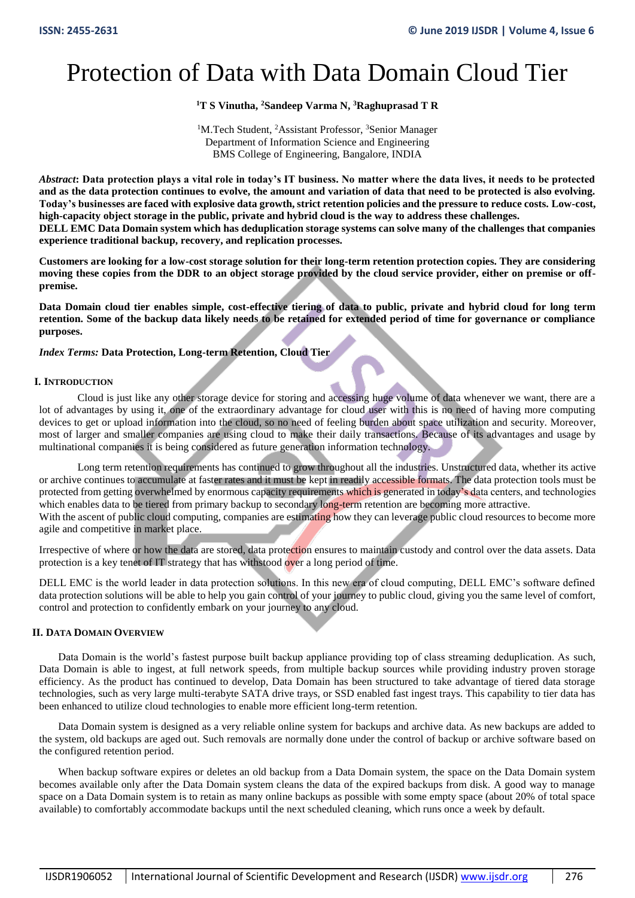# Protection of Data with Data Domain Cloud Tier

## **<sup>1</sup>T S Vinutha, <sup>2</sup>Sandeep Varma N, <sup>3</sup>Raghuprasad T R**

<sup>1</sup>M.Tech Student, <sup>2</sup>Assistant Professor, <sup>3</sup>Senior Manager Department of Information Science and Engineering BMS College of Engineering, Bangalore, INDIA

*Abstract***: Data protection plays a vital role in today's IT business. No matter where the data lives, it needs to be protected and as the data protection continues to evolve, the amount and variation of data that need to be protected is also evolving. Today's businesses are faced with explosive data growth, strict retention policies and the pressure to reduce costs. Low-cost, high-capacity object storage in the public, private and hybrid cloud is the way to address these challenges. DELL EMC Data Domain system which has deduplication storage systems can solve many of the challenges that companies experience traditional backup, recovery, and replication processes.**

**Customers are looking for a low-cost storage solution for their long-term retention protection copies. They are considering moving these copies from the DDR to an object storage provided by the cloud service provider, either on premise or offpremise.** 

**Data Domain cloud tier enables simple, cost-effective tiering of data to public, private and hybrid cloud for long term retention. Some of the backup data likely needs to be retained for extended period of time for governance or compliance purposes.**

## *Index Terms:* **Data Protection, Long-term Retention, Cloud Tier**

## **I. INTRODUCTION**

Cloud is just like any other storage device for storing and accessing huge volume of data whenever we want, there are a lot of advantages by using it, one of the extraordinary advantage for cloud user with this is no need of having more computing devices to get or upload information into the cloud, so no need of feeling burden about space utilization and security. Moreover, most of larger and smaller companies are using cloud to make their daily transactions. Because of its advantages and usage by multinational companies it is being considered as future generation information technology.

Long term retention requirements has continued to grow throughout all the industries. Unstructured data, whether its active or archive continues to accumulate at faster rates and it must be kept in readily accessible formats. The data protection tools must be protected from getting overwhelmed by enormous capacity requirements which is generated in today's data centers, and technologies which enables data to be tiered from primary backup to secondary long-term retention are becoming more attractive. With the ascent of public cloud computing, companies are estimating how they can leverage public cloud resources to become more agile and competitive in market place.

Irrespective of where or how the data are stored, data protection ensures to maintain custody and control over the data assets. Data protection is a key tenet of IT strategy that has withstood over a long period of time.

DELL EMC is the world leader in data protection solutions. In this new era of cloud computing, DELL EMC's software defined data protection solutions will be able to help you gain control of your journey to public cloud, giving you the same level of comfort, control and protection to confidently embark on your journey to any cloud.

## **II. DATA DOMAIN OVERVIEW**

Data Domain is the world's fastest purpose built backup appliance providing top of class streaming deduplication. As such, Data Domain is able to ingest, at full network speeds, from multiple backup sources while providing industry proven storage efficiency. As the product has continued to develop, Data Domain has been structured to take advantage of tiered data storage technologies, such as very large multi-terabyte SATA drive trays, or SSD enabled fast ingest trays. This capability to tier data has been enhanced to utilize cloud technologies to enable more efficient long-term retention.

Data Domain system is designed as a very reliable online system for backups and archive data. As new backups are added to the system, old backups are aged out. Such removals are normally done under the control of backup or archive software based on the configured retention period.

When backup software expires or deletes an old backup from a Data Domain system, the space on the Data Domain system becomes available only after the Data Domain system cleans the data of the expired backups from disk. A good way to manage space on a Data Domain system is to retain as many online backups as possible with some empty space (about 20% of total space available) to comfortably accommodate backups until the next scheduled cleaning, which runs once a week by default.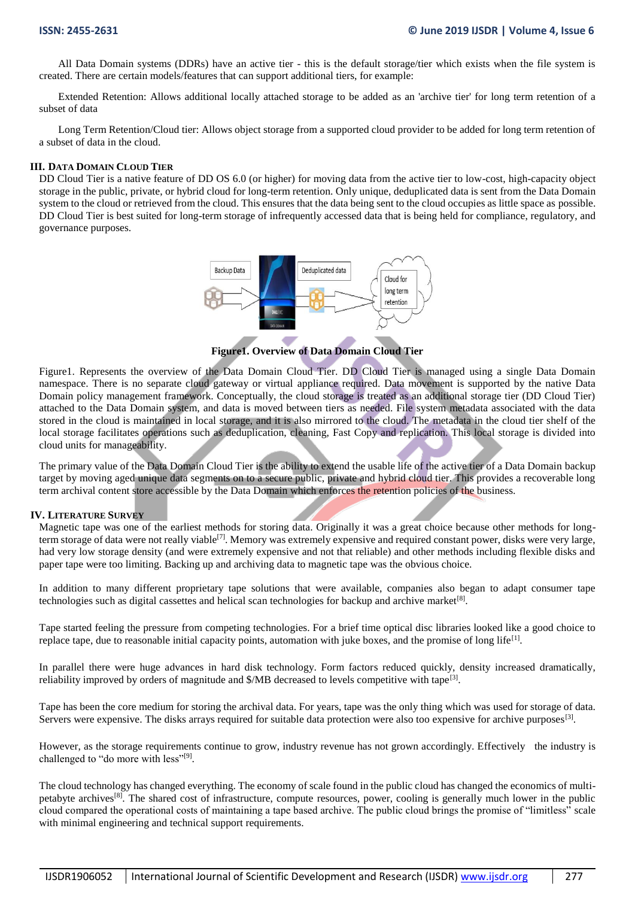All Data Domain systems (DDRs) have an active tier - this is the default storage/tier which exists when the file system is created. There are certain models/features that can support additional tiers, for example:

Extended Retention: Allows additional locally attached storage to be added as an 'archive tier' for long term retention of a subset of data

Long Term Retention/Cloud tier: Allows object storage from a supported cloud provider to be added for long term retention of a subset of data in the cloud.

#### **III. DATA DOMAIN CLOUD TIER**

DD Cloud Tier is a native feature of DD OS 6.0 (or higher) for moving data from the active tier to low-cost, high-capacity object storage in the public, private, or hybrid cloud for long-term retention. Only unique, deduplicated data is sent from the Data Domain system to the cloud or retrieved from the cloud. This ensures that the data being sent to the cloud occupies as little space as possible. DD Cloud Tier is best suited for long-term storage of infrequently accessed data that is being held for compliance, regulatory, and governance purposes.



**Figure1. Overview of Data Domain Cloud Tier**

Figure1. Represents the overview of the Data Domain Cloud Tier. DD Cloud Tier is managed using a single Data Domain namespace. There is no separate cloud gateway or virtual appliance required. Data movement is supported by the native Data Domain policy management framework. Conceptually, the cloud storage is treated as an additional storage tier (DD Cloud Tier) attached to the Data Domain system, and data is moved between tiers as needed. File system metadata associated with the data stored in the cloud is maintained in local storage, and it is also mirrored to the cloud. The metadata in the cloud tier shelf of the local storage facilitates operations such as deduplication, cleaning, Fast Copy and replication. This local storage is divided into cloud units for manageability.

The primary value of the Data Domain Cloud Tier is the ability to extend the usable life of the active tier of a Data Domain backup target by moving aged unique data segments on to a secure public, private and hybrid cloud tier. This provides a recoverable long term archival content store accessible by the Data Domain which enforces the retention policies of the business.

## **IV. LITERATURE SURVEY**

Magnetic tape was one of the earliest methods for storing data. Originally it was a great choice because other methods for longterm storage of data were not really viable<sup>[7]</sup>. Memory was extremely expensive and required constant power, disks were very large, had very low storage density (and were extremely expensive and not that reliable) and other methods including flexible disks and paper tape were too limiting. Backing up and archiving data to magnetic tape was the obvious choice.

In addition to many different proprietary tape solutions that were available, companies also began to adapt consumer tape technologies such as digital cassettes and helical scan technologies for backup and archive market $[8]$ .

Tape started feeling the pressure from competing technologies. For a brief time optical disc libraries looked like a good choice to replace tape, due to reasonable initial capacity points, automation with juke boxes, and the promise of long life<sup>[1]</sup>.

In parallel there were huge advances in hard disk technology. Form factors reduced quickly, density increased dramatically, reliability improved by orders of magnitude and \$/MB decreased to levels competitive with tape<sup>[3]</sup>.

Tape has been the core medium for storing the archival data. For years, tape was the only thing which was used for storage of data. Servers were expensive. The disks arrays required for suitable data protection were also too expensive for archive purposes<sup>[3]</sup>.

However, as the storage requirements continue to grow, industry revenue has not grown accordingly. Effectively the industry is challenged to "do more with less"<sup>[9]</sup>.

The cloud technology has changed everything. The economy of scale found in the public cloud has changed the economics of multipetabyte archives[8]. The shared cost of infrastructure, compute resources, power, cooling is generally much lower in the public cloud compared the operational costs of maintaining a tape based archive. The public cloud brings the promise of "limitless" scale with minimal engineering and technical support requirements.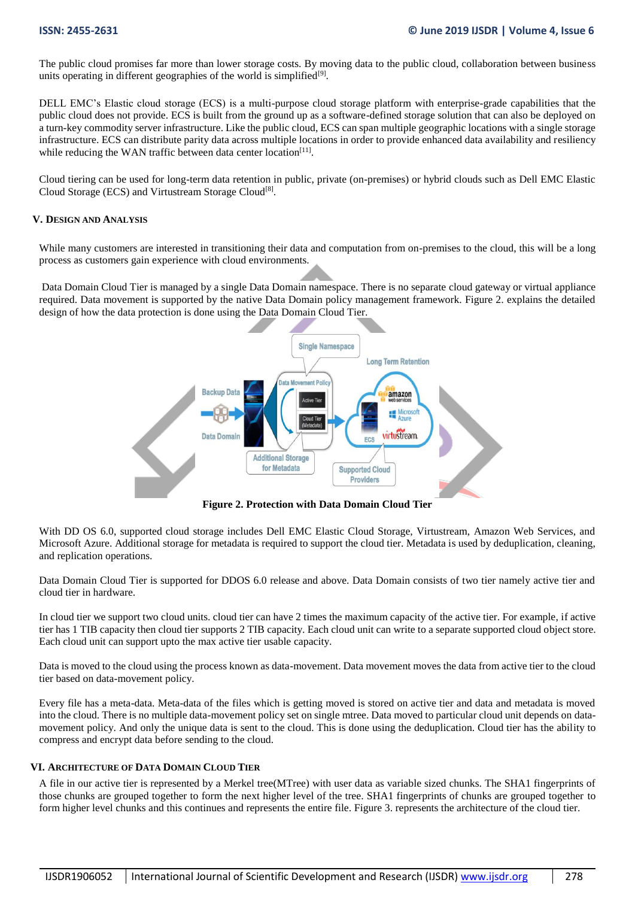The public cloud promises far more than lower storage costs. By moving data to the public cloud, collaboration between business units operating in different geographies of the world is simplified<sup>[9]</sup>.

DELL EMC's Elastic cloud storage (ECS) is a multi-purpose cloud storage platform with enterprise-grade capabilities that the public cloud does not provide. ECS is built from the ground up as a software-defined storage solution that can also be deployed on a turn-key commodity server infrastructure. Like the public cloud, ECS can span multiple geographic locations with a single storage infrastructure. ECS can distribute parity data across multiple locations in order to provide enhanced data availability and resiliency while reducing the WAN traffic between data center location<sup>[11]</sup>.

Cloud tiering can be used for long-term data retention in public, private (on-premises) or hybrid clouds such as Dell EMC Elastic Cloud Storage (ECS) and Virtustream Storage Cloud<sup>[8]</sup>.

## **V. DESIGN AND ANALYSIS**

While many customers are interested in transitioning their data and computation from on-premises to the cloud, this will be a long process as customers gain experience with cloud environments.

Data Domain Cloud Tier is managed by a single Data Domain namespace. There is no separate cloud gateway or virtual appliance required. Data movement is supported by the native Data Domain policy management framework. Figure 2. explains the detailed design of how the data protection is done using the Data Domain Cloud Tier.



**Figure 2. Protection with Data Domain Cloud Tier**

With DD OS 6.0, supported cloud storage includes Dell EMC Elastic Cloud Storage, Virtustream, Amazon Web Services, and Microsoft Azure. Additional storage for metadata is required to support the cloud tier. Metadata is used by deduplication, cleaning, and replication operations.

Data Domain Cloud Tier is supported for DDOS 6.0 release and above. Data Domain consists of two tier namely active tier and cloud tier in hardware.

In cloud tier we support two cloud units. cloud tier can have 2 times the maximum capacity of the active tier. For example, if active tier has 1 TIB capacity then cloud tier supports 2 TIB capacity. Each cloud unit can write to a separate supported cloud object store. Each cloud unit can support upto the max active tier usable capacity.

Data is moved to the cloud using the process known as data-movement. Data movement moves the data from active tier to the cloud tier based on data-movement policy.

Every file has a meta-data. Meta-data of the files which is getting moved is stored on active tier and data and metadata is moved into the cloud. There is no multiple data-movement policy set on single mtree. Data moved to particular cloud unit depends on datamovement policy. And only the unique data is sent to the cloud. This is done using the deduplication. Cloud tier has the ability to compress and encrypt data before sending to the cloud.

## **VI. ARCHITECTURE OF DATA DOMAIN CLOUD TIER**

A file in our active tier is represented by a Merkel tree(MTree) with user data as variable sized chunks. The SHA1 fingerprints of those chunks are grouped together to form the next higher level of the tree. SHA1 fingerprints of chunks are grouped together to form higher level chunks and this continues and represents the entire file. Figure 3. represents the architecture of the cloud tier.